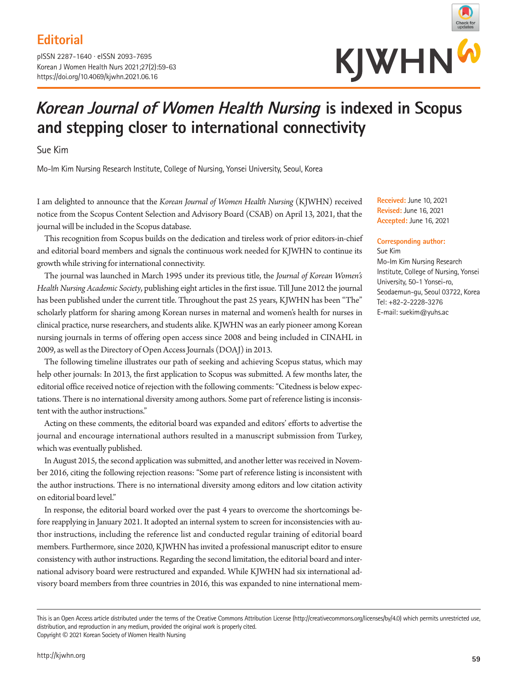# **Editorial**

pISSN 2287-1640 · eISSN 2093-7695 Korean J Women Health Nurs 2021;27(2):59-63 https://doi.org/10.4069/kjwhn.2021.06.16



# **Korean Journal of Women Health Nursing is indexed in Scopus and stepping closer to international connectivity**

Sue Kim

Mo-Im Kim Nursing Research Institute, College of Nursing, Yonsei University, Seoul, Korea

I am delighted to announce that the *Korean Journal of Women Health Nursing* (KJWHN) received notice from the Scopus Content Selection and Advisory Board (CSAB) on April 13, 2021, that the journal will be included in the Scopus database.

This recognition from Scopus builds on the dedication and tireless work of prior editors-in-chief and editorial board members and signals the continuous work needed for KJWHN to continue its growth while striving for international connectivity.

The journal was launched in March 1995 under its previous title, the *Journal of Korean Women's Health Nursing Academic Society*, publishing eight articles in the first issue. Till June 2012 the journal has been published under the current title. Throughout the past 25 years, KJWHN has been "The" scholarly platform for sharing among Korean nurses in maternal and women's health for nurses in clinical practice, nurse researchers, and students alike. KJWHN was an early pioneer among Korean nursing journals in terms of offering open access since 2008 and being included in CINAHL in 2009, as well as the Directory of Open Access Journals (DOAJ) in 2013.

The following timeline illustrates our path of seeking and achieving Scopus status, which may help other journals: In 2013, the first application to Scopus was submitted. A few months later, the editorial office received notice of rejection with the following comments: "Citedness is below expectations. There is no international diversity among authors. Some part of reference listing is inconsistent with the author instructions."

Acting on these comments, the editorial board was expanded and editors' efforts to advertise the journal and encourage international authors resulted in a manuscript submission from Turkey, which was eventually published.

In August 2015, the second application was submitted, and another letter was received in November 2016, citing the following rejection reasons: "Some part of reference listing is inconsistent with the author instructions. There is no international diversity among editors and low citation activity on editorial board level."

In response, the editorial board worked over the past 4 years to overcome the shortcomings before reapplying in January 2021. It adopted an internal system to screen for inconsistencies with author instructions, including the reference list and conducted regular training of editorial board members. Furthermore, since 2020, KJWHN has invited a professional manuscript editor to ensure consistency with author instructions. Regarding the second limitation, the editorial board and international advisory board were restructured and expanded. While KJWHN had six international advisory board members from three countries in 2016, this was expanded to nine international mem**Received:** June 10, 2021 **Revised:** June 16, 2021 **Accepted:** June 16, 2021

#### **Corresponding author:**

Sue Kim Mo-Im Kim Nursing Research Institute, College of Nursing, Yonsei University, 50-1 Yonsei-ro, Seodaemun-gu, Seoul 03722, Korea Tel: +82-2-2228-3276 E-mail: suekim@yuhs.ac

This is an Open Access article distributed under the terms of the Creative Commons Attribution License (http://creativecommons.org/licenses/by/4.0) which permits unrestricted use, distribution, and reproduction in any medium, provided the original work is properly cited. Copyright © 2021 Korean Society of Women Health Nursing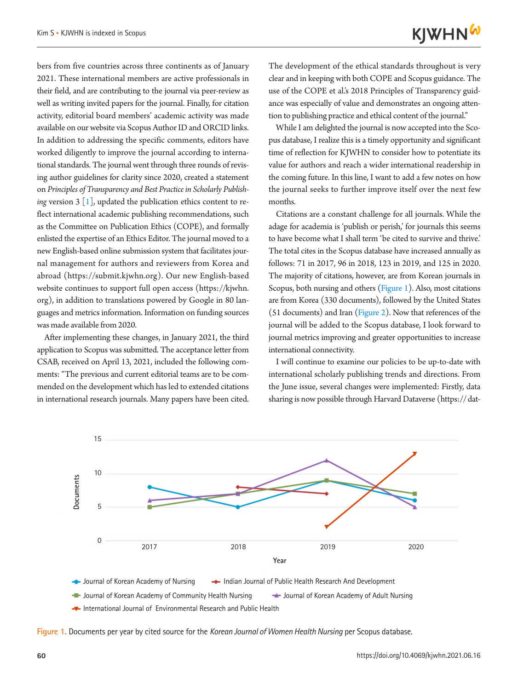bers from five countries across three continents as of January 2021. These international members are active professionals in their field, and are contributing to the journal via peer-review as well as writing invited papers for the journal. Finally, for citation activity, editorial board members' academic activity was made available on our website via Scopus Author ID and ORCID links. In addition to addressing the specific comments, editors have worked diligently to improve the journal according to international standards. The journal went through three rounds of revising author guidelines for clarity since 2020, created a statement on *Principles of Transparency and Best Practice in Scholarly Publishing* version  $3 \lfloor 1 \rfloor$ , updated the publication ethics content to reflect international academic publishing recommendations, such as the Committee on Publication Ethics (COPE), and formally enlisted the expertise of an Ethics Editor. The journal moved to a new English-based online submission system that facilitates journal management for authors and reviewers from Korea and abroad (https://submit.kjwhn.org). Our new English-based website continues to support full open access (https://kjwhn. org), in addition to translations powered by Google in 80 languages and metrics information. Information on funding sources was made available from 2020.

After implementing these changes, in January 2021, the third application to Scopus was submitted. The acceptance letter from CSAB, received on April 13, 2021, included the following comments: "The previous and current editorial teams are to be commended on the development which has led to extended citations in international research journals. Many papers have been cited.

The development of the ethical standards throughout is very clear and in keeping with both COPE and Scopus guidance. The use of the COPE et al.'s 2018 Principles of Transparency guidance was especially of value and demonstrates an ongoing attention to publishing practice and ethical content of the journal."

While I am delighted the journal is now accepted into the Scopus database, I realize this is a timely opportunity and significant time of reflection for KJWHN to consider how to potentiate its value for authors and reach a wider international readership in the coming future. In this line, I want to add a few notes on how the journal seeks to further improve itself over the next few months.

Citations are a constant challenge for all journals. While the adage for academia is 'publish or perish,' for journals this seems to have become what I shall term 'be cited to survive and thrive.' The total cites in the Scopus database have increased annually as follows: 71 in 2017, 96 in 2018, 123 in 2019, and 125 in 2020. The majority of citations, however, are from Korean journals in Scopus, both nursing and others (Figure 1). Also, most citations are from Korea (330 documents), followed by the United States (51 documents) and Iran (Figure 2). Now that references of the journal will be added to the Scopus database, I look forward to journal metrics improving and greater opportunities to increase international connectivity.

I will continue to examine our policies to be up-to-date with international scholarly publishing trends and directions. From the June issue, several changes were implemented: Firstly, data sharing is now possible through Harvard Dataverse (https:// dat-



**Figure 1.** Documents per year by cited source for the *Korean Journal of Women Health Nursing* per Scopus database.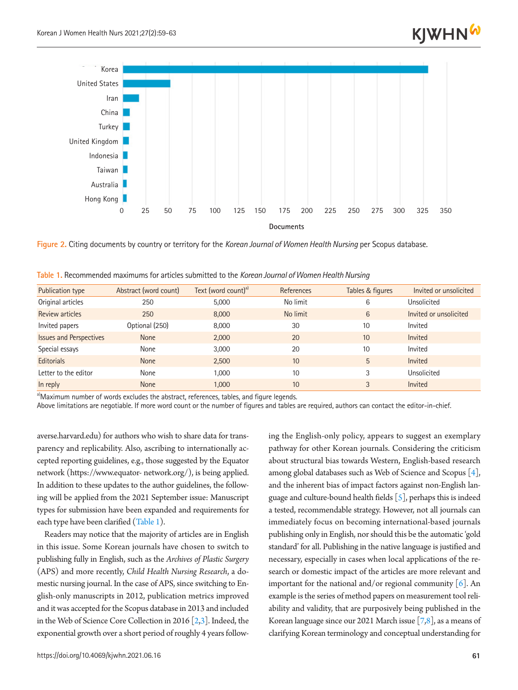

**Figure 2.** Citing documents by country or territory for the *Korean Journal of Women Health Nursing* per Scopus database.

| <b>Publication type</b>        | Abstract (word count) | Text (word count) <sup>a)</sup> | References | Tables & figures | Invited or unsolicited |
|--------------------------------|-----------------------|---------------------------------|------------|------------------|------------------------|
| Original articles              | 250                   | 5,000                           | No limit   | 6                | Unsolicited            |
| Review articles                | 250                   | 8,000                           | No limit   | 6                | Invited or unsolicited |
| Invited papers                 | Optional (250)        | 8,000                           | 30         | 10               | Invited                |
| <b>Issues and Perspectives</b> | <b>None</b>           | 2,000                           | 20         | 10               | Invited                |
| Special essays                 | None                  | 3,000                           | 20         | 10               | Invited                |
| <b>Editorials</b>              | <b>None</b>           | 2,500                           | 10         | 5                | Invited                |
| Letter to the editor           | None                  | 1.000                           | 10         | 3                | Unsolicited            |
| In reply                       | <b>None</b>           | 1,000                           | 10         | 3                | Invited                |

<span id="page-2-0"></span>**Table 1.** Recommended maximums for articles submitted to the *Korean Journal of Women Health Nursing*

a)Maximum number of words excludes the abstract, references, tables, and figure legends.

Above limitations are negotiable. If more word count or the number of figures and tables are required, authors can contact the editor-in-chief.

averse.harvard.edu) for authors who wish to share data for transparency and replicability. Also, ascribing to internationally accepted reporting guidelines, e.g., those suggested by the Equator network (https:[//www.equator-](www.equator-) network.org/), is being applied. In addition to these updates to the author guidelines, the following will be applied from the 2021 September issue: Manuscript types for submission have been expanded and requirements for each type have been clarified [\(Table 1\)](#page-2-0).

Readers may notice that the majority of articles are in English in this issue. Some Korean journals have chosen to switch to publishing fully in English, such as the *Archives of Plastic Surgery* (APS) and more recently, *Child Health Nursing Research*, a domestic nursing journal. In the case of APS, since switching to English-only manuscripts in 2012, publication metrics improved and it was accepted for the Scopus database in 2013 and included in the Web of Science Core Collection in 2016 [[2](#page-3-1)[,3](#page-3-2)]. Indeed, the exponential growth over a short period of roughly 4 years follow-

https://doi.org/10.4069/kjwhn.2021.06.16 **61**

ing the English-only policy, appears to suggest an exemplary pathway for other Korean journals. Considering the criticism about structural bias towards Western, English-based research among global databases such as Web of Science and Scopus  $[4]$ , and the inherent bias of impact factors against non-English language and culture-bound health fields  $[5]$ , perhaps this is indeed a tested, recommendable strategy. However, not all journals can immediately focus on becoming international-based journals publishing only in English, nor should this be the automatic 'gold standard' for all. Publishing in the native language is justified and necessary, especially in cases when local applications of the research or domestic impact of the articles are more relevant and important for the national and/or regional community  $[6]$ . An example is the series of method papers on measurement tool reliability and validity, that are purposively being published in the Korean language since our 2021 March issue  $[7,8]$  $[7,8]$  $[7,8]$ , as a means of clarifying Korean terminology and conceptual understanding for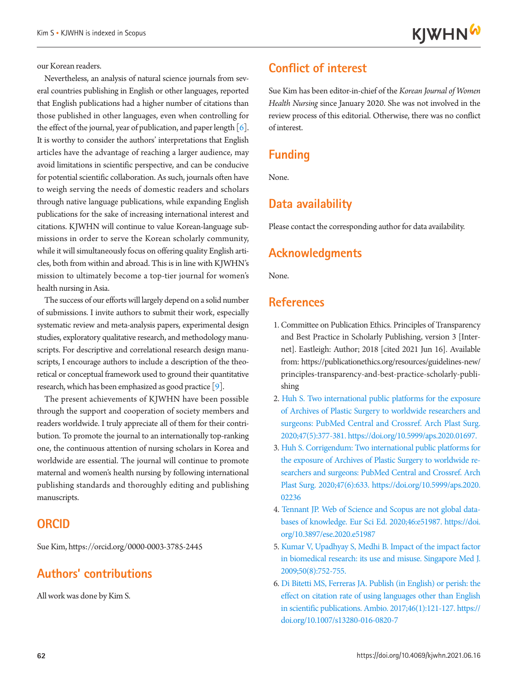our Korean readers.

Nevertheless, an analysis of natural science journals from several countries publishing in English or other languages, reported that English publications had a higher number of citations than those published in other languages, even when controlling for the effect of the journal, year of publication, and paper length  $[6]$  $[6]$ . It is worthy to consider the authors' interpretations that English articles have the advantage of reaching a larger audience, may avoid limitations in scientific perspective, and can be conducive for potential scientific collaboration. As such, journals often have to weigh serving the needs of domestic readers and scholars through native language publications, while expanding English publications for the sake of increasing international interest and citations. KJWHN will continue to value Korean-language submissions in order to serve the Korean scholarly community, while it will simultaneously focus on offering quality English articles, both from within and abroad. This is in line with KJWHN's mission to ultimately become a top-tier journal for women's health nursing in Asia.

The success of our efforts will largely depend on a solid number of submissions. I invite authors to submit their work, especially systematic review and meta-analysis papers, experimental design studies, exploratory qualitative research, and methodology manuscripts. For descriptive and correlational research design manuscripts, I encourage authors to include a description of the theoretical or conceptual framework used to ground their quantitative research, which has been emphasized as good practice [\[9](#page-4-2)].

The present achievements of KJWHN have been possible through the support and cooperation of society members and readers worldwide. I truly appreciate all of them for their contribution. To promote the journal to an internationally top-ranking one, the continuous attention of nursing scholars in Korea and worldwide are essential. The journal will continue to promote maternal and women's health nursing by following international publishing standards and thoroughly editing and publishing manuscripts.

#### **ORCID**

Sue Kim, [https://orcid.org/0000-0003-3785-244](http://orcid.org/0000-0003-3785-2445)5

# **Authors' contributions**

All work was done by Kim S.

# **Conflict of interest**

Sue Kim has been editor-in-chief of the *Korean Journal of Women Health Nursing* since January 2020. She was not involved in the review process of this editorial. Otherwise, there was no conflict of interest.

#### **Funding**

None.

# **Data availability**

Please contact the corresponding author for data availability.

### **Acknowledgments**

None.

#### **References**

- <span id="page-3-0"></span>1. Committee on Publication Ethics. Principles of Transparency and Best Practice in Scholarly Publishing, version 3 [Internet]. Eastleigh: Author; 2018 [cited 2021 Jun 16]. Available from: [https://publicationethics.org/resources/guidelines-new/](https://publicationethics.org/resources/guidelines-new/
principles-transparency-and-best-practice-scholarly-publishing) [principles-transparency-and-best-practice-scholarly-publi](https://publicationethics.org/resources/guidelines-new/
principles-transparency-and-best-practice-scholarly-publishing)[shing](https://publicationethics.org/resources/guidelines-new/
principles-transparency-and-best-practice-scholarly-publishing)
- <span id="page-3-1"></span>2. [Huh S. Two international public platforms for the exposure](https://doi.org/10.5999/aps.2020.01697)  [of Archives of Plastic Surgery to worldwide researchers and](https://doi.org/10.5999/aps.2020.01697)  [surgeons: PubMed Central and Crossref. Arch Plast Surg.](https://doi.org/10.5999/aps.2020.01697)  [2020;47\(5\):377-381. https://doi.org/10.5999/aps.2](https://doi.org/10.5999/aps.2020.01697)020.01697.
- <span id="page-3-2"></span>3. Huh S. Corrigendum: [Two international public platforms for](https://doi.org/10.5999/aps.2020.02236)  [the exposure of Archives of Plastic Surgery to worldwide re](https://doi.org/10.5999/aps.2020.02236)[searchers and surgeons: PubMed Central and Crossref. Arch](https://doi.org/10.5999/aps.2020.02236)  [Plast Surg. 2020;47\(6\):633. https://doi.org/10.5999/aps.](https://doi.org/10.5999/aps.2020.02236)2020. 02236
- <span id="page-3-3"></span>[4. Tennant JP. Web of Science and Scopus are not global data](https://doi.org/10.3897/ese.2020.e51987)[bases of knowledge. Eur Sci Ed. 2020;46:e51987. https://doi.](https://doi.org/10.3897/ese.2020.e51987) [org/10.3897/ese.2020.e51987](https://doi.org/10.3897/ese.2020.e51987)
- <span id="page-3-4"></span>[5. Kumar V, Upadhyay S, Medhi B. Impact of the impact factor](https://www.ncbi.nlm.nih.gov/pubmed/19710969)  [in biomedical research: its use and misuse. Singapore Med J.](https://www.ncbi.nlm.nih.gov/pubmed/19710969)  [2009;50\(8\):752-755](https://www.ncbi.nlm.nih.gov/pubmed/19710969).
- <span id="page-3-5"></span>[6. Di Bitetti MS, Ferreras JA. Publish \(in English\) or perish: the](https://doi.org/10.1007/s13280-016-0820-7)  [effect on citation rate of using languages other than English](https://doi.org/10.1007/s13280-016-0820-7)  [in scientific publications. Ambio. 2017;46\(1\):121-127. https://](https://doi.org/10.1007/s13280-016-0820-7) [doi.org/10.1007/s13280-016-0820-7](https://doi.org/10.1007/s13280-016-0820-7)